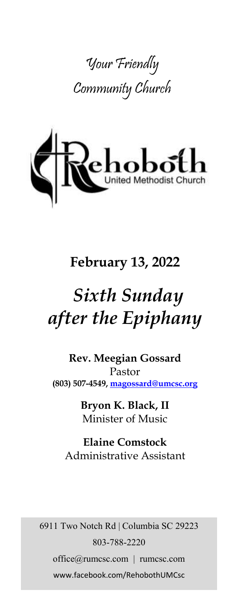



## **February 13, 2022**

# *Sixth Sunday after the Epiphany*

**Rev. Meegian Gossard** Pastor **(803) 507-4549, magossard@umcsc.org**

> **Bryon K. Black, II** Minister of Music

**Elaine Comstock** Administrative Assistant

6911 Two Notch Rd | Columbia SC 29223 803-788-2220 office@rumcsc.com | rumcsc.com www.facebook.com/RehobothUMCsc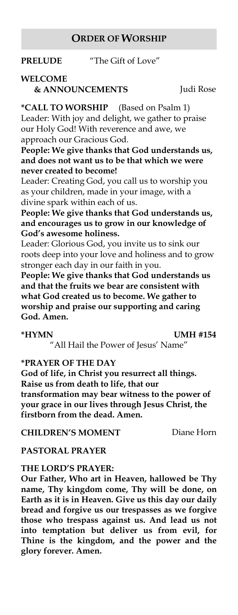## **ORDER OF WORSHIP**

**PRELUDE** "The Gift of Love"

## **WELCOME & ANNOUNCEMENTS** Judi Rose

**\*CALL TO WORSHIP** (Based on Psalm 1) Leader: With joy and delight, we gather to praise our Holy God! With reverence and awe, we approach our Gracious God.

**People: We give thanks that God understands us, and does not want us to be that which we were never created to become!**

Leader: Creating God, you call us to worship you as your children, made in your image, with a divine spark within each of us.

**People: We give thanks that God understands us, and encourages us to grow in our knowledge of God's awesome holiness.**

Leader: Glorious God, you invite us to sink our roots deep into your love and holiness and to grow stronger each day in our faith in you.

**People: We give thanks that God understands us and that the fruits we bear are consistent with what God created us to become. We gather to worship and praise our supporting and caring God. Amen.**

**\*HYMN UMH #154**

"All Hail the Power of Jesus' Name"

**\*PRAYER OF THE DAY**

**God of life, in Christ you resurrect all things. Raise us from death to life, that our transformation may bear witness to the power of your grace in our lives through Jesus Christ, the firstborn from the dead. Amen.**

**CHILDREN'S MOMENT** Diane Horn

## **PASTORAL PRAYER**

#### **THE LORD'S PRAYER:**

**Our Father, Who art in Heaven, hallowed be Thy name, Thy kingdom come, Thy will be done, on Earth as it is in Heaven. Give us this day our daily bread and forgive us our trespasses as we forgive those who trespass against us. And lead us not into temptation but deliver us from evil, for Thine is the kingdom, and the power and the glory forever. Amen.**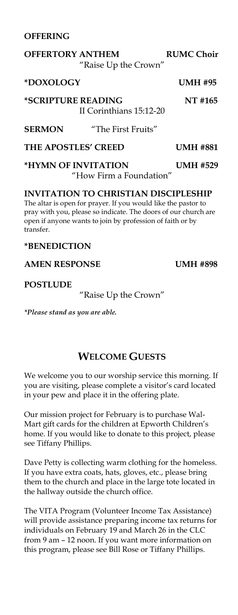### **OFFERING**

## **OFFERTORY ANTHEM RUMC Choir**  "Raise Up the Crown" **\*DOXOLOGY UMH #95 \*SCRIPTURE READING NT #165** II Corinthians 15:12-20 **SERMON** "The First Fruits"

**THE APOSTLES' CREED UMH #881**

**\*HYMN OF INVITATION UMH #529** "How Firm a Foundation"

## **INVITATION TO CHRISTIAN DISCIPLESHIP**

The altar is open for prayer. If you would like the pastor to pray with you, please so indicate. The doors of our church are open if anyone wants to join by profession of faith or by transfer.

## **\*BENEDICTION**

**AMEN RESPONSE UMH #898**

### **POSTLUDE**

"Raise Up the Crown"

*\*Please stand as you are able.*

## **WELCOME GUESTS**

We welcome you to our worship service this morning. If you are visiting, please complete a visitor's card located in your pew and place it in the offering plate.

Our mission project for February is to purchase Wal-Mart gift cards for the children at Epworth Children's home. If you would like to donate to this project, please see Tiffany Phillips.

Dave Petty is collecting warm clothing for the homeless. If you have extra coats, hats, gloves, etc., please bring them to the church and place in the large tote located in the hallway outside the church office.

The VITA Program (Volunteer Income Tax Assistance) will provide assistance preparing income tax returns for individuals on February 19 and March 26 in the CLC from 9 am – 12 noon. If you want more information on this program, please see Bill Rose or Tiffany Phillips.